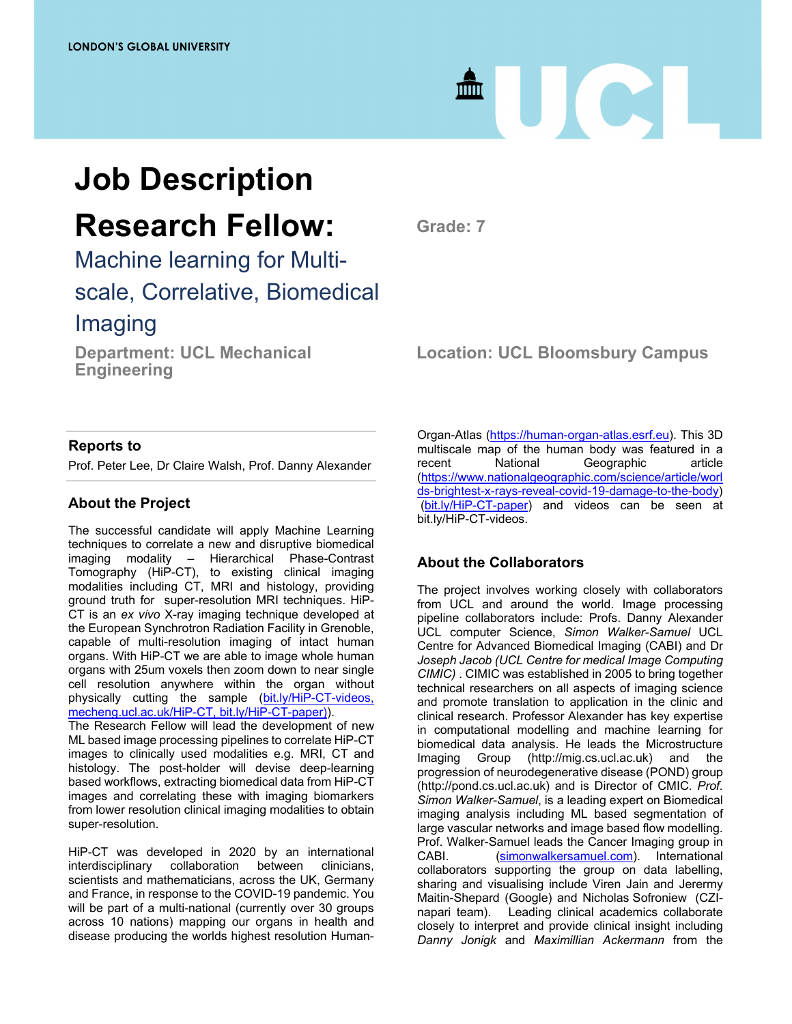

## **Job Description Research Fellow:**

**Grade: 7** 

Machine learning for Multiscale, Correlative, Biomedical Imaging

**Department: UCL Mechanical Engineering** 

## **Location: UCL Bloomsbury Campus**

### **Reports to**

Prof. Peter Lee, Dr Claire Walsh, Prof. Danny Alexander

## **About the Project**

The successful candidate will apply Machine Learning techniques to correlate a new and disruptive biomedical imaging modality – Hierarchical Phase-Contrast Tomography (HiP-CT), to existing clinical imaging modalities including CT, MRI and histology, providing ground truth for super-resolution MRI techniques. HiP-CT is an *ex vivo* X-ray imaging technique developed at the European Synchrotron Radiation Facility in Grenoble, capable of multi-resolution imaging of intact human organs. With HiP-CT we are able to image whole human organs with 25um voxels then zoom down to near single cell resolution anywhere within the organ without physically cutting the sample (bit.ly/HiP-CT-videos, mecheng.ucl.ac.uk/HiP-CT, bit.ly/HiP-CT-paper)).

The Research Fellow will lead the development of new ML based image processing pipelines to correlate HiP-CT images to clinically used modalities e.g. MRI, CT and histology. The post-holder will devise deep-learning based workflows, extracting biomedical data from HiP-CT images and correlating these with imaging biomarkers from lower resolution clinical imaging modalities to obtain super-resolution.

HiP-CT was developed in 2020 by an international interdisciplinary collaboration between clinicians, scientists and mathematicians, across the UK, Germany and France, in response to the COVID-19 pandemic. You will be part of a multi-national (currently over 30 groups across 10 nations) mapping our organs in health and disease producing the worlds highest resolution HumanOrgan-Atlas (https://human-organ-atlas.esrf.eu). This 3D multiscale map of the human body was featured in a recent National Geographic article (https://www.nationalgeographic.com/science/article/worl ds-brightest-x-rays-reveal-covid-19-damage-to-the-body) (bit.ly/HiP-CT-paper) and videos can be seen at bit.ly/HiP-CT-videos.

## **About the Collaborators**

The project involves working closely with collaborators from UCL and around the world. Image processing pipeline collaborators include: Profs. Danny Alexander UCL computer Science, *Simon Walker-Samuel* UCL Centre for Advanced Biomedical Imaging (CABI) and Dr *Joseph Jacob (UCL Centre for medical Image Computing CIMIC)* . CIMIC was established in 2005 to bring together technical researchers on all aspects of imaging science and promote translation to application in the clinic and clinical research. Professor Alexander has key expertise in computational modelling and machine learning for biomedical data analysis. He leads the Microstructure Imaging Group (http://mig.cs.ucl.ac.uk) and the progression of neurodegenerative disease (POND) group (http://pond.cs.ucl.ac.uk) and is Director of CMIC. *Prof. Simon Walker-Samuel*, is a leading expert on Biomedical imaging analysis including ML based segmentation of large vascular networks and image based flow modelling. Prof. Walker-Samuel leads the Cancer Imaging group in CABI. (simonwalkersamuel.com). International collaborators supporting the group on data labelling, sharing and visualising include Viren Jain and Jerermy Maitin-Shepard (Google) and Nicholas Sofroniew (CZInapari team). Leading clinical academics collaborate closely to interpret and provide clinical insight including *Danny Jonigk* and *Maximillian Ackermann* from the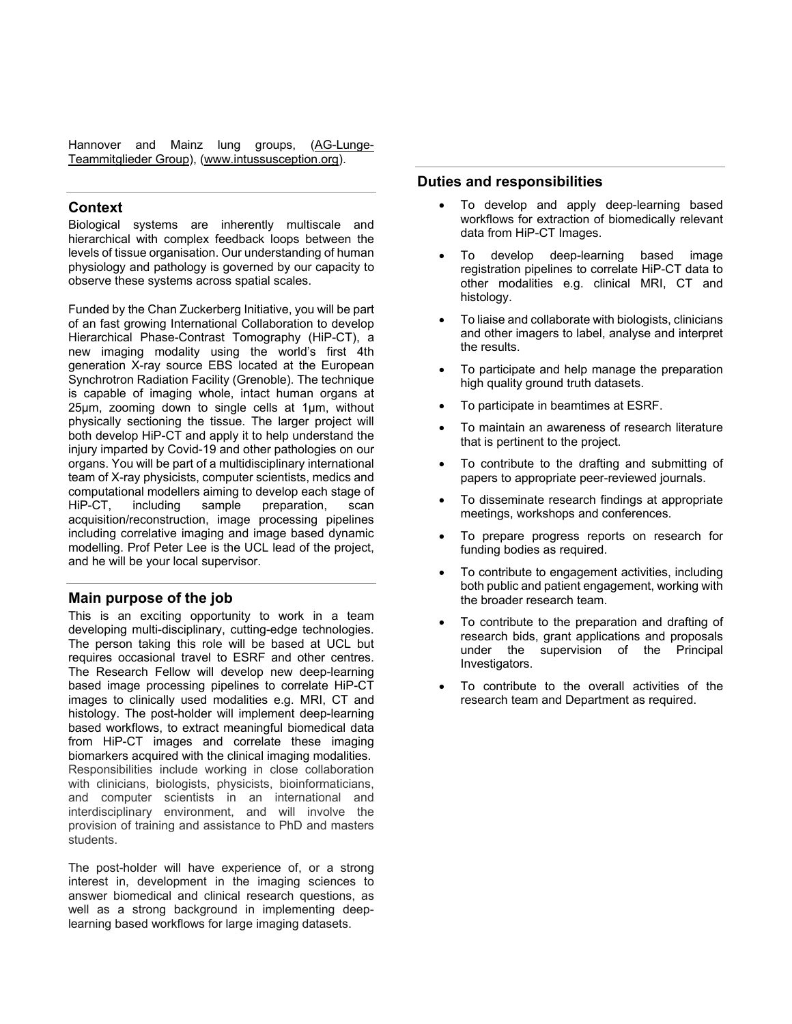Hannover and Mainz lung groups, (AG-Lunge-Teammitglieder Group), (www.intussusception.org).

#### **Context**

Biological systems are inherently multiscale and hierarchical with complex feedback loops between the levels of tissue organisation. Our understanding of human physiology and pathology is governed by our capacity to observe these systems across spatial scales.

Funded by the Chan Zuckerberg Initiative, you will be part of an fast growing International Collaboration to develop Hierarchical Phase-Contrast Tomography (HiP-CT), a new imaging modality using the world's first 4th generation X-ray source EBS located at the European Synchrotron Radiation Facility (Grenoble). The technique is capable of imaging whole, intact human organs at 25µm, zooming down to single cells at 1µm, without physically sectioning the tissue. The larger project will both develop HiP-CT and apply it to help understand the injury imparted by Covid-19 and other pathologies on our organs. You will be part of a multidisciplinary international team of X-ray physicists, computer scientists, medics and computational modellers aiming to develop each stage of HiP-CT, including sample preparation, scan acquisition/reconstruction, image processing pipelines including correlative imaging and image based dynamic modelling. Prof Peter Lee is the UCL lead of the project, and he will be your local supervisor.

#### **Main purpose of the job**

This is an exciting opportunity to work in a team developing multi-disciplinary, cutting-edge technologies. The person taking this role will be based at UCL but requires occasional travel to ESRF and other centres. The Research Fellow will develop new deep-learning based image processing pipelines to correlate HiP-CT images to clinically used modalities e.g. MRI, CT and histology. The post-holder will implement deep-learning based workflows, to extract meaningful biomedical data from HiP-CT images and correlate these imaging biomarkers acquired with the clinical imaging modalities. Responsibilities include working in close collaboration with clinicians, biologists, physicists, bioinformaticians, and computer scientists in an international and interdisciplinary environment, and will involve the provision of training and assistance to PhD and masters students.

The post-holder will have experience of, or a strong interest in, development in the imaging sciences to answer biomedical and clinical research questions, as well as a strong background in implementing deeplearning based workflows for large imaging datasets.

#### **Duties and responsibilities**

- To develop and apply deep-learning based workflows for extraction of biomedically relevant data from HiP-CT Images.
- To develop deep-learning based image registration pipelines to correlate HiP-CT data to other modalities e.g. clinical MRI, CT and histology.
- To liaise and collaborate with biologists, clinicians and other imagers to label, analyse and interpret the results.
- To participate and help manage the preparation high quality ground truth datasets.
- To participate in beamtimes at ESRF.
- To maintain an awareness of research literature that is pertinent to the project.
- To contribute to the drafting and submitting of papers to appropriate peer-reviewed journals.
- To disseminate research findings at appropriate meetings, workshops and conferences.
- To prepare progress reports on research for funding bodies as required.
- To contribute to engagement activities, including both public and patient engagement, working with the broader research team.
- To contribute to the preparation and drafting of research bids, grant applications and proposals under the supervision of the Principal Investigators.
- To contribute to the overall activities of the research team and Department as required.